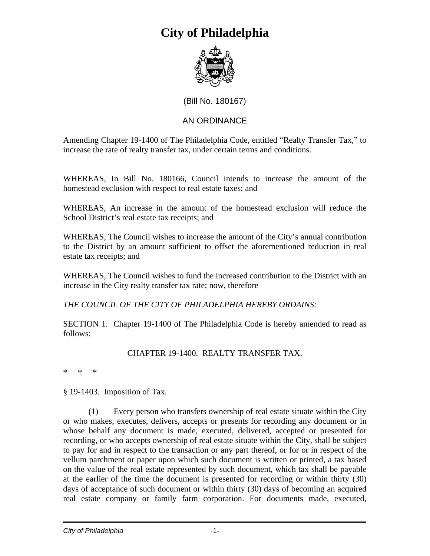

#### (Bill No. 180167)

#### AN ORDINANCE

Amending Chapter 19-1400 of The Philadelphia Code, entitled "Realty Transfer Tax," to increase the rate of realty transfer tax, under certain terms and conditions.

WHEREAS, In Bill No. 180166, Council intends to increase the amount of the homestead exclusion with respect to real estate taxes; and

WHEREAS, An increase in the amount of the homestead exclusion will reduce the School District's real estate tax receipts; and

WHEREAS, The Council wishes to increase the amount of the City's annual contribution to the District by an amount sufficient to offset the aforementioned reduction in real estate tax receipts; and

WHEREAS, The Council wishes to fund the increased contribution to the District with an increase in the City realty transfer tax rate; now, therefore

*THE COUNCIL OF THE CITY OF PHILADELPHIA HEREBY ORDAINS:*

SECTION 1. Chapter 19-1400 of The Philadelphia Code is hereby amended to read as follows:

CHAPTER 19-1400. REALTY TRANSFER TAX.

\* \* \*

§ 19-1403. Imposition of Tax.

 (1) Every person who transfers ownership of real estate situate within the City or who makes, executes, delivers, accepts or presents for recording any document or in whose behalf any document is made, executed, delivered, accepted or presented for recording, or who accepts ownership of real estate situate within the City, shall be subject to pay for and in respect to the transaction or any part thereof, or for or in respect of the vellum parchment or paper upon which such document is written or printed, a tax based on the value of the real estate represented by such document, which tax shall be payable at the earlier of the time the document is presented for recording or within thirty (30) days of acceptance of such document or within thirty (30) days of becoming an acquired real estate company or family farm corporation. For documents made, executed,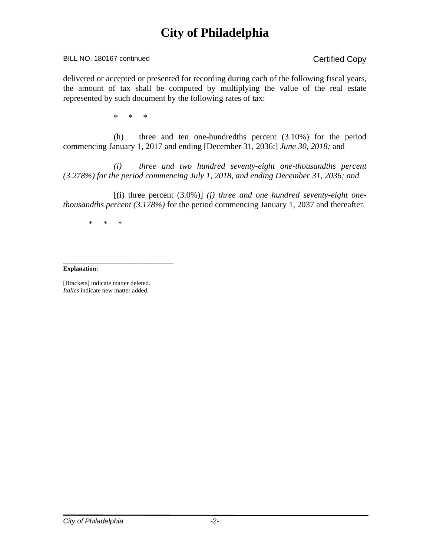BILL NO. 180167 continued Copy

delivered or accepted or presented for recording during each of the following fiscal years, the amount of tax shall be computed by multiplying the value of the real estate represented by such document by the following rates of tax:

 $\star$  \* \* \*

 (h) three and ten one-hundredths percent (3.10%) for the period commencing January 1, 2017 and ending [December 31, 2036;] *June 30, 2018;* and

 *(i) three and two hundred seventy-eight one-thousandths percent (3.278%) for the period commencing July 1, 2018, and ending December 31, 2036; and* 

 [(i) three percent (3.0%)] *(j) three and one hundred seventy-eight onethousandths percent (3.178%)* for the period commencing January 1, 2037 and thereafter.

\* \* \*

 $\overline{\phantom{a}}$  , and the set of the set of the set of the set of the set of the set of the set of the set of the set of the set of the set of the set of the set of the set of the set of the set of the set of the set of the s **Explanation:** 

[Brackets] indicate matter deleted. *Italics* indicate new matter added.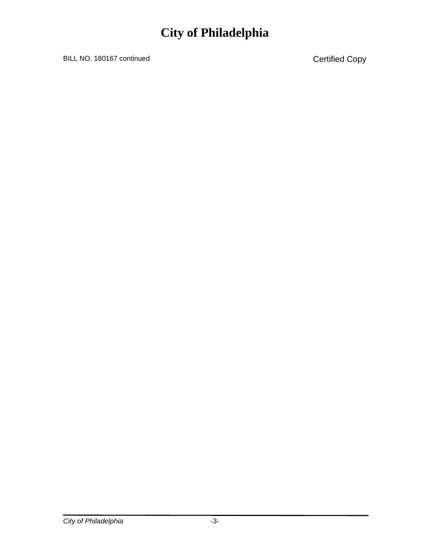BILL NO. 180167 continued Copy